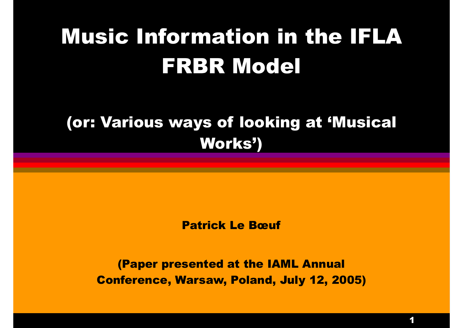### Music Information in the IFLA FRBR Model

#### (or: Various ways of looking at 'Musical Works')

Patrick Le Bœuf

(Paper presented at the IAML Annual Conference, Warsaw, Poland, July 12, 2005)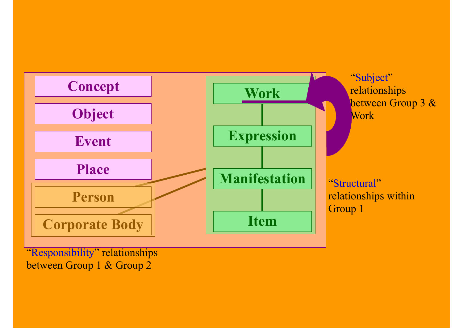

"Responsibility" relationships between Group 1 & Group 2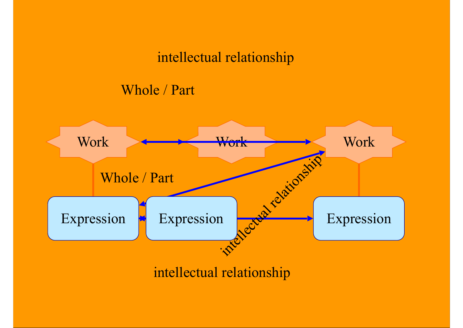#### intellectual relationship

#### Whole / Part

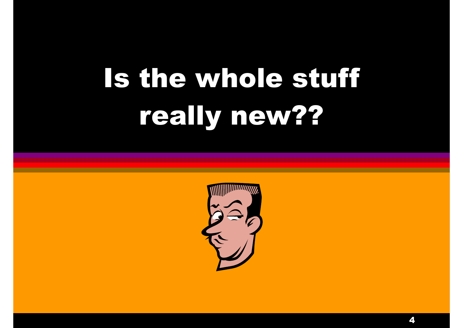# Is the whole stuff really new??

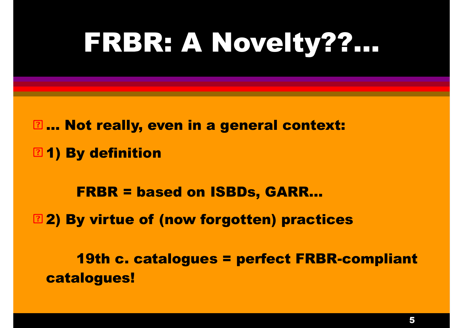## FRBR: A Novelty??…

**E... Not really, even in a general context: 21) By definition** 

 FRBR = based on ISBDs, GARR… **22) By virtue of (now forgotten) practices** 

 19th c. catalogues = perfect FRBR-compliant catalogues!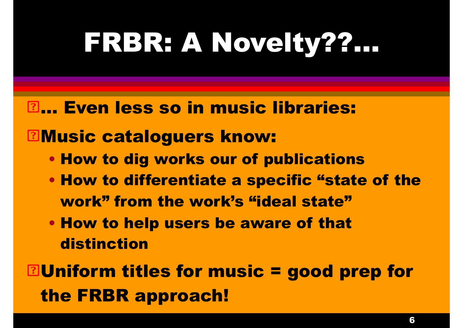## FRBR: A Novelty??…

#### **Even less so in music libraries:**

#### **ENusic cataloguers know:**

- How to dig works our of publications
- How to differentiate a specific "state of the work" from the work's "ideal state"
- How to help users be aware of that distinction

**Ellniform titles for music = good prep for** the FRBR approach!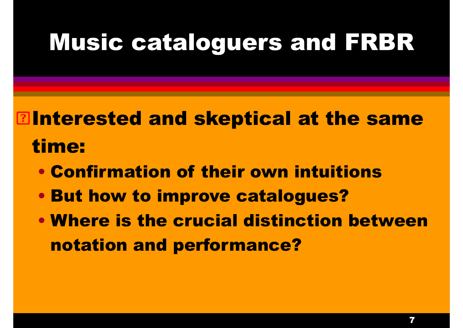### Music cataloguers and FRBR

### **Elnterested and skeptical at the same** time:

- Confirmation of their own intuitions
- But how to improve catalogues?
- Where is the crucial distinction between notation and performance?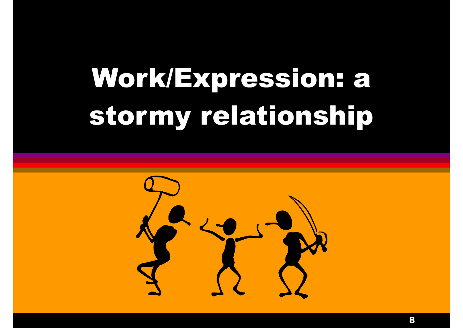# Work/Expression: a stormy relationship

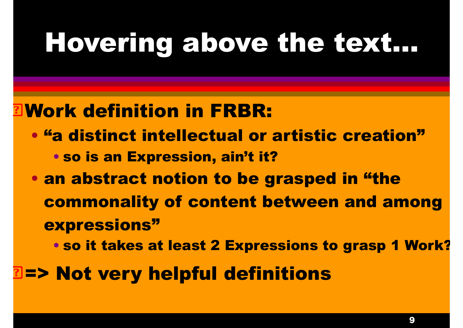## Hovering above the text…

#### Work definition in FRBR:

- "a distinct intellectual or artistic creation" • so is an Expression, ain't it?
- an abstract notion to be grasped in "the commonality of content between and among expressions"
	- so it takes at least 2 Expressions to grasp 1 Work?
- => Not very helpful definitions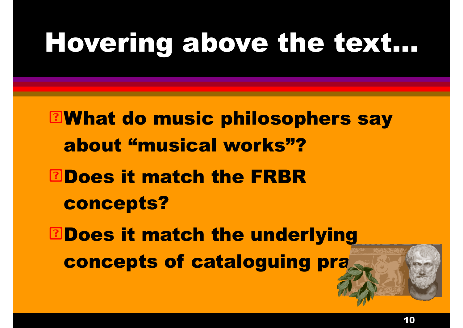## Hovering above the text…

**EWhat do music philosophers say** about "musical works"? **BDoes it match the FRBR** concepts? **EDoes it match the underlying** concepts of cataloguing pra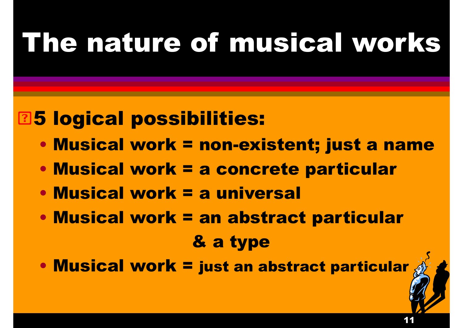### 5 logical possibilities:

- Musical work = non-existent; just a name
- Musical work = a concrete particular
- Musical work = a universal
- Musical work = an abstract particular & a type
- Musical work = just an abstract particular

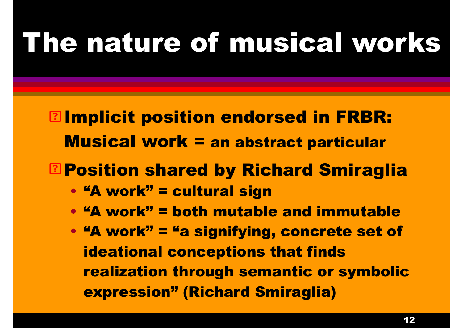- **Elmplicit position endorsed in FRBR:** Musical work = an abstract particular
- Position shared by Richard Smiraglia
	- "A work" = cultural sign
	- "A work" = both mutable and immutable
	- "A work" = "a signifying, concrete set of ideational conceptions that finds realization through semantic or symbolic expression" (Richard Smiraglia)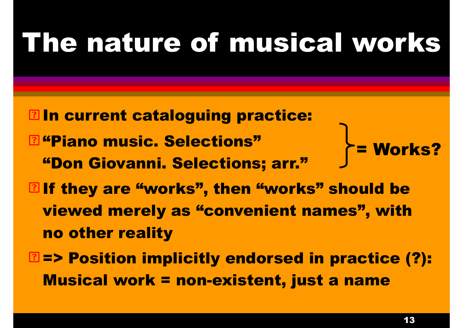- **Eln current cataloguing practice: E** "Piano music. Selections" "Don Giovanni. Selections; arr." **Elf they are "works", then "works" should be** viewed merely as "convenient names", with no other reality = Works?
- **East Position implicitly endorsed in practice (?):** Musical work = non-existent, just a name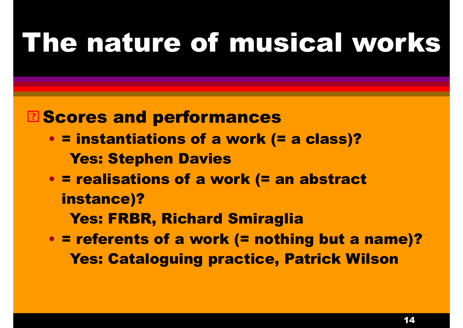#### **E Scores and performances**

- = instantiations of a work (= a class)? Yes: Stephen Davies
- = realisations of a work (= an abstract instance)?

Yes: FRBR, Richard Smiraglia

• = referents of a work (= nothing but a name)? Yes: Cataloguing practice, Patrick Wilson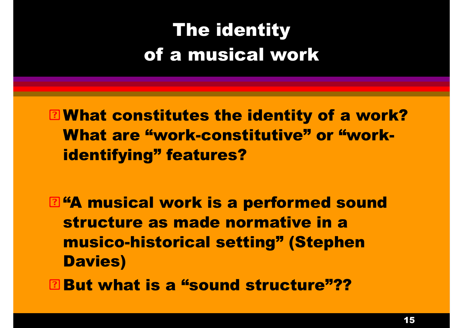**E** What constitutes the identity of a work? What are "work-constitutive" or "workidentifying" features?

**E.44 musical work is a performed sound** structure as made normative in a musico-historical setting" (Stephen Davies) **But what is a "sound structure"??**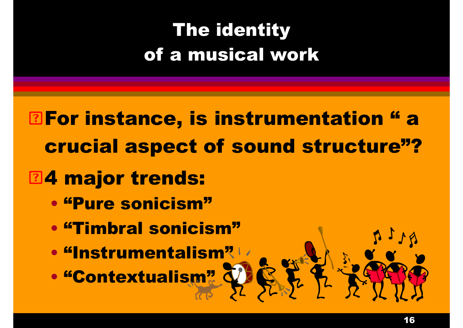**Enter instance, is instrumentation "a** crucial aspect of sound structure"?

### **24 major trends:**

- "Pure sonicism"
- "Timbral sonicism"
- "Instrumentalism"
- "Contextualism"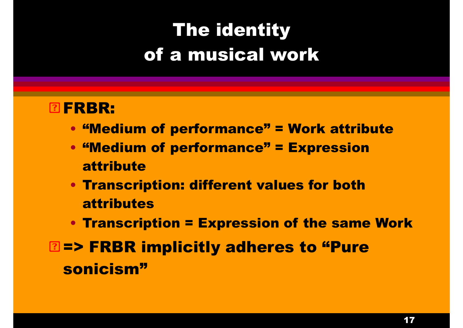#### **ØFRBR:**

- "Medium of performance" = Work attribute
- "Medium of performance" = Expression attribute
- Transcription: different values for both attributes
- Transcription = Expression of the same Work
- **EEP FRBR implicitly adheres to "Pure** sonicism"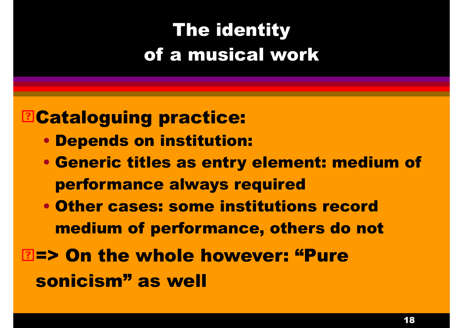#### **BCataloguing practice:**

- Depends on institution:
- Generic titles as entry element: medium of performance always required
- Other cases: some institutions record medium of performance, others do not
- => On the whole however: "Pure sonicism" as well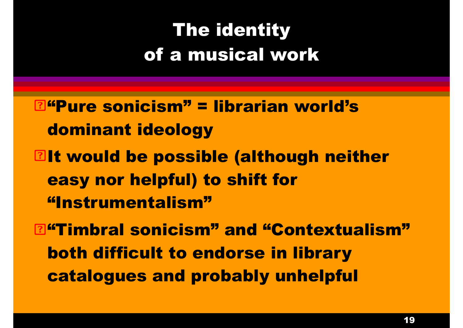**Effequal consist External Signal External External Extendion Constant Constant Constant Constant Constant Constant Constant Constant Constant Constant Constant Constant Constant Constant Constant Constant Constant Constan** dominant ideology **Elt would be possible (although neither** easy nor helpful) to shift for "Instrumentalism" **E**"Timbral sonicism" and "Contextualism" both difficult to endorse in library

catalogues and probably unhelpful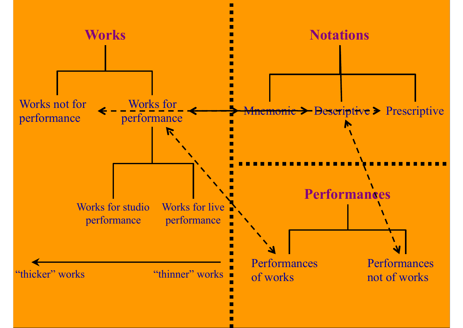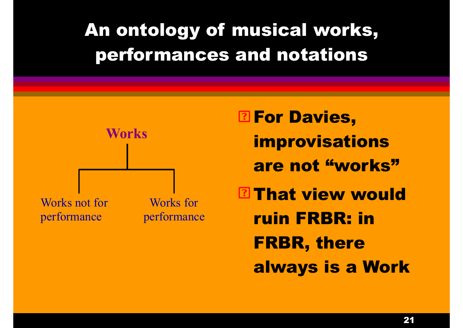

**P. For Davies,** improvisations are not "works" **EThat view would** ruin FRBR: in FRBR, there always is a Work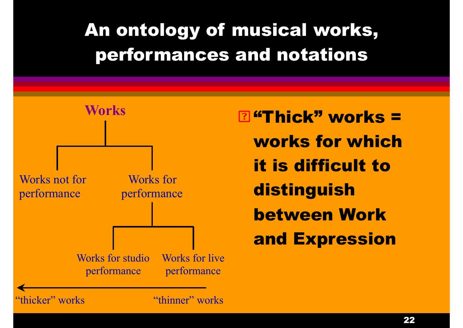

**E** "Thick" works = works for which it is difficult to **distinguish** between Work and Expression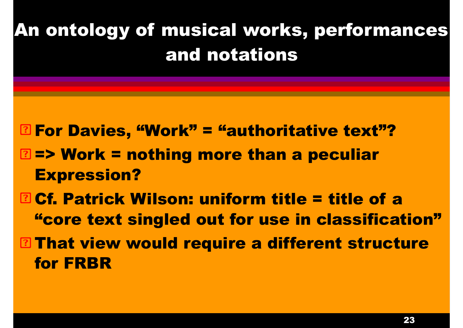For Davies, "Work" = "authoritative text"? **EE> Work = nothing more than a peculiar** Expression?

**B Cf. Patrick Wilson: uniform title = title of a** "core text singled out for use in classification" **EThat view would require a different structure** 

for FRBR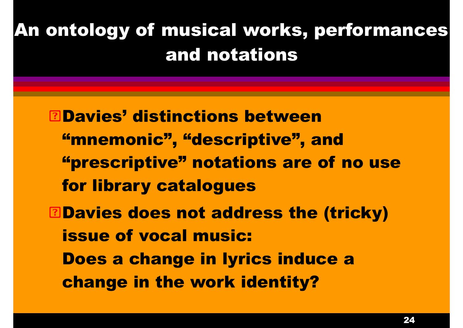Davies' distinctions between "mnemonic", "descriptive", and "prescriptive" notations are of no use for library catalogues **EDavies does not address the (tricky)** issue of vocal music: Does a change in lyrics induce a change in the work identity?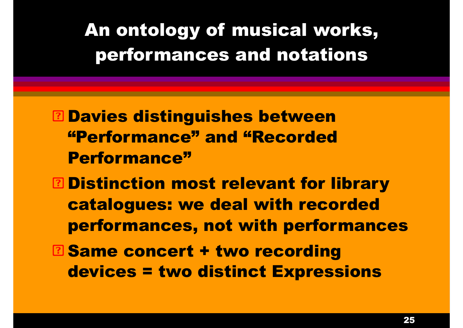**E Davies distinguishes between** "Performance" and "Recorded Performance"

- **E Distinction most relevant for library** catalogues: we deal with recorded performances, not with performances
- **E** Same concert + two recording devices = two distinct Expressions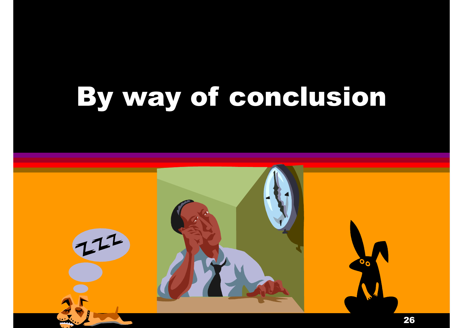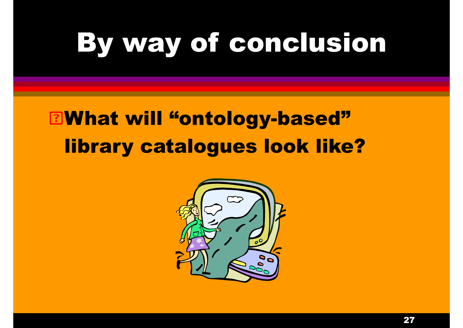### What will "ontology-based" library catalogues look like?

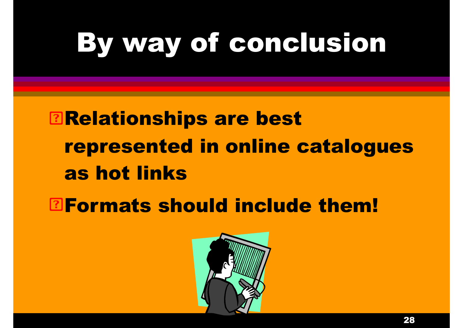**Environships are best** represented in online catalogues as hot links

**BFormats should include them!** 

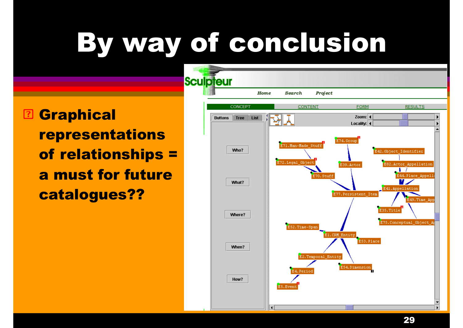**B Graphical** representations of relationships = a must for future catalogues??